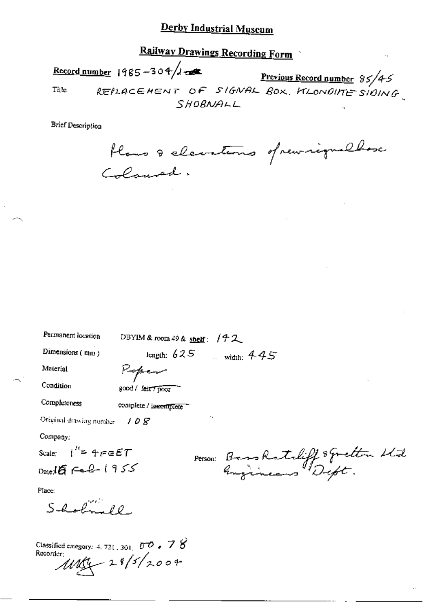Railway Drawings Recording Form Record number 1985-304/d  $\frac{1000 \text{ m} \cdot 1985 - 304 / 1} \cdot \frac{304}{1000} \cdot \frac{1000 \text{ m} \cdot \text{Re} \cdot \text{C}}{100000 \text{ m} \cdot \text{C}}$ Title SHOBNALL

**Brief Description** 

flans & elevations of new inguillase

| Permanent location                                                                                                       | DBYIM & room 49 & shelf: $/72$      |
|--------------------------------------------------------------------------------------------------------------------------|-------------------------------------|
| Dimensions $(mn)$                                                                                                        | length: $625$ width: $445$          |
| Material                                                                                                                 | Kepen                               |
| Condition                                                                                                                | good / fair / poor                  |
| Completeness                                                                                                             | complete / incomplete               |
| Original drawing number                                                                                                  | ٠.<br>108                           |
| Company:                                                                                                                 |                                     |
| Scale: $l'' = 4 \epsilon \epsilon \epsilon T$                                                                            |                                     |
| $Date16$ Feb-1955                                                                                                        | Person: Bass Ratchiff spection Wide |
| Place:                                                                                                                   |                                     |
| $S$ -holm $10$                                                                                                           |                                     |
| Classified category: 4, 721, 301, $\overline{U}$ $\overline{U}$ $\rightarrow$ $\overline{V}$ $\overline{S}$<br>Recorder: | $100 - 28/5/2004$                   |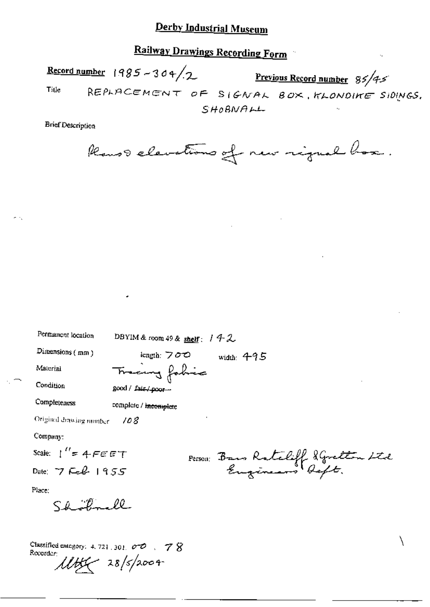Railway Drawings Recording Form

Record number  $1985 - 304$ /2 Previous Record number 85/4-5 Title REPLACEMENT OF SIGNAL BOX, KLONDIKE SIDINGS. SHOBNALL

**Brief Description** 

Ranso elevations of new rigual box.

| Dimensions (mm)<br>length: $700$<br>width: $495$<br>Tracing fabric<br>Material<br>Condition<br>good / fair / poor --<br>Completeness<br>complete / incomplete<br>Original drawing number<br>108<br>Company:<br>Scale: $1'' = 4.5557$<br>Person: Bans Ratcliff Squatton Ltd<br>Date: $7$ Feb $1955$<br>Place:<br>Shootmall | Permanent location | DBYIM & room 49 & shelf: $142$ |  |  |
|---------------------------------------------------------------------------------------------------------------------------------------------------------------------------------------------------------------------------------------------------------------------------------------------------------------------------|--------------------|--------------------------------|--|--|
|                                                                                                                                                                                                                                                                                                                           |                    |                                |  |  |
|                                                                                                                                                                                                                                                                                                                           |                    |                                |  |  |
|                                                                                                                                                                                                                                                                                                                           |                    |                                |  |  |
|                                                                                                                                                                                                                                                                                                                           |                    |                                |  |  |
|                                                                                                                                                                                                                                                                                                                           |                    |                                |  |  |
|                                                                                                                                                                                                                                                                                                                           |                    |                                |  |  |
|                                                                                                                                                                                                                                                                                                                           |                    |                                |  |  |
|                                                                                                                                                                                                                                                                                                                           |                    |                                |  |  |
|                                                                                                                                                                                                                                                                                                                           |                    |                                |  |  |
|                                                                                                                                                                                                                                                                                                                           |                    |                                |  |  |
| o <del>.</del>                                                                                                                                                                                                                                                                                                            |                    |                                |  |  |

Classified entegory: 4, 721, 301,  $\sigma \mathcal{O}$  ,  $\mathcal{O} \mathcal{S}$ Recorder:  $11455 - 28$ /s/2004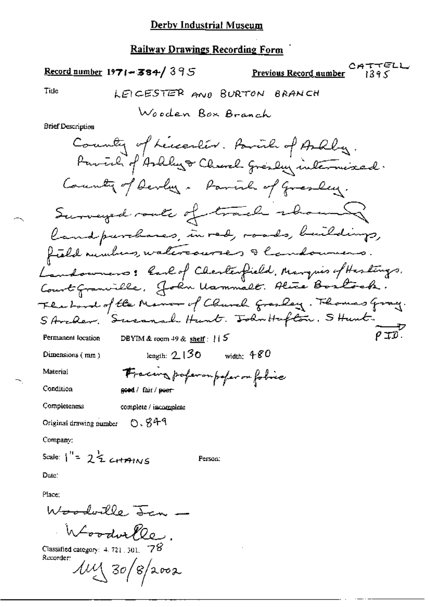## Record number 1971-384/395

 $\overline{a}$ 

 $CATTELL$ <br> $1395$ Previous Record number

Title

**Brief Description** 

Company;

Scale:  $1^{11} = 2\frac{1}{2}$  crimins

Person:

Date:

Place:

Woodorlle Jan -

 $W$ ordur $\ell\ell$ e, Recorder:

 $\mu$ y 30/8/2002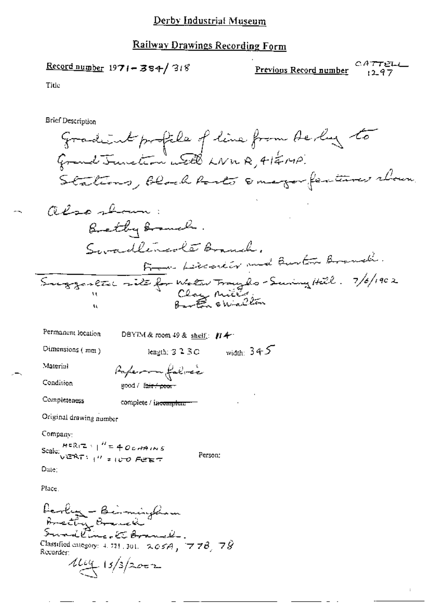### Railway Drawings Recording Form

Record number  $1971 - 384/318$ 

CATTELL Previous Record number  $1297$ 

Title

Brief Description

gradient profile of line from the lay to Grand Junction with LNWR, 41 EMP. Stations, black barts smager features whown also shown: Brethy Branch. Swadlingsle Branch. From Lecconicr and Burton Branch. Suggenete site for Water Traylo-Suring Hill. 7/6/1902

| Permanent location                                    | DBYIM & room 49 & shelf; $H +$      |              |
|-------------------------------------------------------|-------------------------------------|--------------|
| Dimensions (mm)                                       | length; $3.2.3C$                    | width: $345$ |
| Material                                              | Paperron falmée                     |              |
| Condition                                             | good / f <del>air / poor -</del>    |              |
| Completeness                                          | complete / in <del>complete -</del> | ٠            |
| Original drawing number                               |                                     |              |
| Company:                                              |                                     |              |
| Scale: $\frac{H^c R(T)}{V^c R(T)}$ $H^c = 406$ drains | Person:                             |              |

ುಯೂರು<br>| VERT: <sub>|</sub> // ಕ್ಕ*ರ್ PEET* 

 $Due:$ 

Place.

<del>ferlig - Beimingham</del><br>Brechy Branch Sundline. Et Branck. Classified category: 4, 721, 301, 205A, 778, 78 Recurder:  $444/3/2002$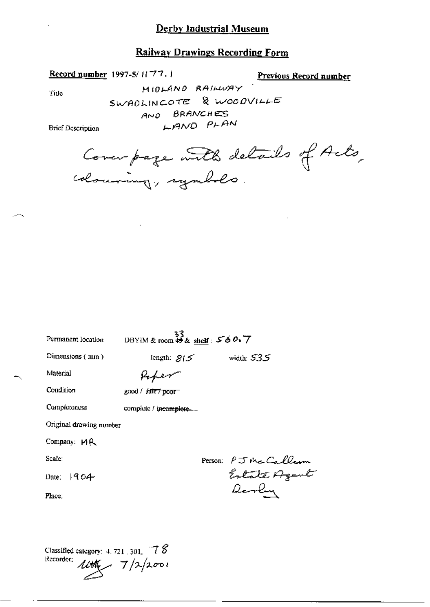### **Railway Drawings Recording Form**

Record number 1997-5/1177.1

Previous Record number

Title

ومسرر

MIDLAND RAILWAY SWADLINCOTE & WOODVILLE AND BRANCHES LAND PLAN

**Brief Description** 

Cover page with details of Acts,

| Permanent location      | DBYIM & room #8 $\frac{33}{\text{shelf}}$ : 560.7 |                                        |
|-------------------------|---------------------------------------------------|----------------------------------------|
| Dimensions $(mn)$       | length: $8/5$                                     | width: $535$                           |
| Material                | toper                                             |                                        |
| Condition               | good / <i>Falter</i> poor -                       |                                        |
| Completeness            | complete / incomplete                             |                                        |
| Original drawing number |                                                   |                                        |
| Company: MR             |                                                   |                                        |
| Scale:                  |                                                   |                                        |
| Date: $1904$            |                                                   | Person: PJ the Callerm<br>Estate Azent |
| Place:                  |                                                   | <i>Devly</i>                           |
|                         |                                                   |                                        |
|                         |                                                   |                                        |

Classified category:  $4.721$ ,  $301$ ,  $-78$ Recorder:  $\mu$ the  $7/2/2001$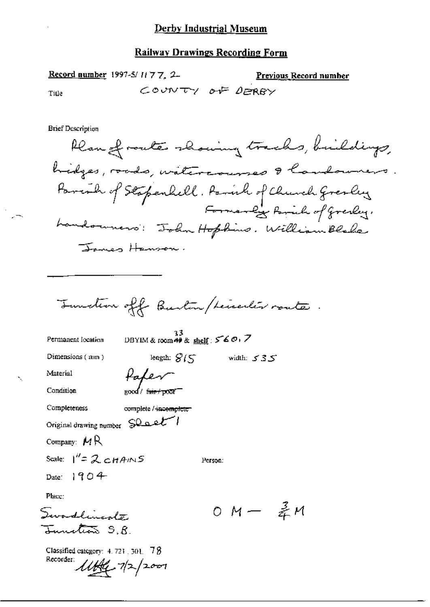Record number 1997-5/1177, 2. **Previous Record number** COUNTY OF DERRY Title

**Brief Description** 

Recorder 11th 12/2001

Plan of route showing tracks, buildings, hidges, roads, watercourses & landowners. Parish of Stapenhell. Parish of Church Gresley.<br>Formanly Parish of Greeky. Landounero: John Hopkins. William Blake James Hanson. Tunction off Burton / Leveler router. 33<br>DBYIM & room 49 & shelf :  $560.7$ Permanent location length:  $8/5$  width:  $535$ Dimensions (mm) Paper Material  $2000$   $\sqrt{6}$ Condition Completeness complete / incomplete Original drawing number SQ ast Company:  $MR$ Scale:  $1'' = 2 \text{CHAINS}$ Person: Date:  $1904$ Place: 0 M  $-$  柔M Swordlingste Iunites S.R Classified category:  $4.721$ ,  $301$ ,  $78$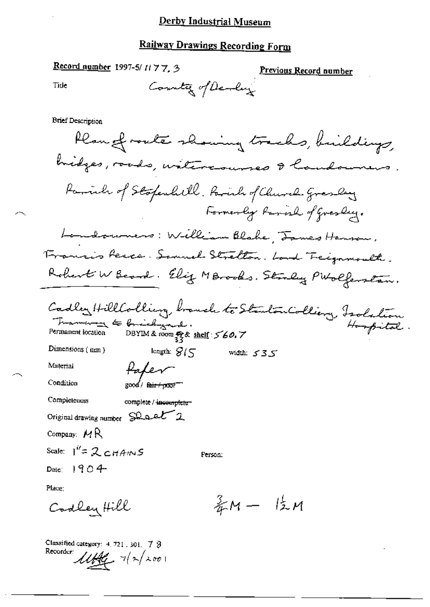## Railway Drawings Recording Form

Record number 1997-5/1177, 3

Previous Record number

Tide

**Brief Description** 

Plan of route showing tracks, buildings, hidges, roads, witcocourses & landowners Parinh of Stopenhill, Parish of Church Gresley Formerly Ranish of Gresley. Landowners: William Blake, James Hanson, Francis Resco. Samuel Strelton. Land Treignmouth. Robert W Beard. Elig MBrooks, Straly PWolfenstan. Cadley HillColling branch to StantonColling, Isolation Framework to Critical yard. Permanent location Dimensions  $(mn)$ length:  $\mathcal{G}_{\ell}$ width:  $535$ Material Paper  $\log$   $\frac{1}{2}$   $\frac{1}{2}$   $\frac{1}{2}$   $\frac{1}{2}$   $\frac{1}{2}$   $\frac{1}{2}$   $\frac{1}{2}$   $\frac{1}{2}$   $\frac{1}{2}$   $\frac{1}{2}$   $\frac{1}{2}$   $\frac{1}{2}$   $\frac{1}{2}$   $\frac{1}{2}$   $\frac{1}{2}$   $\frac{1}{2}$   $\frac{1}{2}$   $\frac{1}{2}$   $\frac{1}{2}$   $\frac{1}{2}$   $\frac{1}{2}$   $\frac{1}{$ Condition Completeness complete / incomplete-Original drawing number Shoet<sup>7</sup>2 Company:  $MR$ Scale:  $I^{\prime\prime}$ = 2 cHAINS Person: Date:  $1904$ Place:  $\frac{2}{3}M - \frac{1}{2}M$ Codley Hill

Classified category: 4, 721, 301, 7 3 Recorder:  $1144 - 712/2001$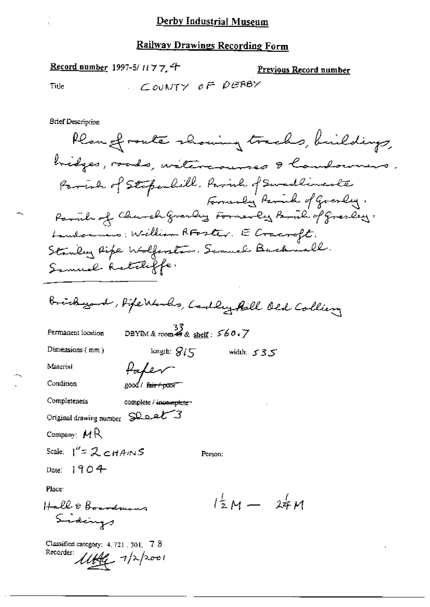Tide

Previous Record number

COUNTY OF DERBY

**Brief Description** 

Record number 1997-5/11774

Plan of route showing tracks, buildings, hidges, roads, watercourses & landowners. Farink of Stopenhill, Farink of Swadlineste Formerly Parish of Goverly, Partile of Church Grandey Formerly Partile of Grandey. Landonnias: William RFoster. E Cracroft. Stanley Ripe Wolferston. Samuel Buchmall. Samuel Ratcliffe.

Bridge and, Hipe Warles, Cadley Aill Old Colliery

Permanent location

DBYIM & room  $\overset{37}{\bullet}$  & shelf:  $\overset{56}{\circ}$  60.7

Person:

length:  $\mathcal{G}/\subset$ 

Palen

2000/ fair/000F

complete / incomplete -

Dimensions  $(mn)$ 

Material

Condition

Completeness

Original drawing number SQ of 3

Company:  $M R$ 

Scale:  $1'' = 2cHAMS$ 

Date:  $1904$ 

Place:

Hall & Boardmans Sidings

Classified category:  $4.721$ ,  $301$ ,  $78$ Recorder: 11AG 7/2/2001

 $l^{\frac{1}{2}}M - 24M$ 

width:  $535$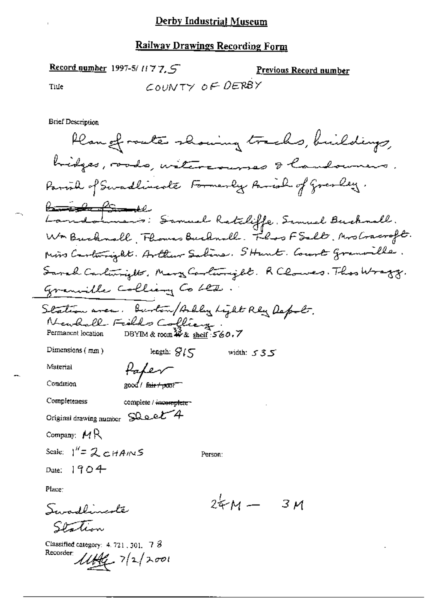### Railway Drawings Recording Form

Record number 1997-5/ $1177.5$ Previous Record number COUNTY OF DERBY Tille

**Brief Description** 

Plan of route showing tracks, buildings, bidges, roods, watercourses & landowners. Parial of Sevadlincole Formerly Parial of Gresley. <del>landomen's</del>: Samuel Ratcliffe, Samuel Bucknall. Was Burknall, Flower Burknall. Floo FSalt, Mrs Cracroft. Mins Cartemizate. Arthur Saline. SHant. Court granville. Sanah Carlinights, Mary Carlinight, R Clouses. Thas Wragg. Granville Colliany Co LED. Station avec Burton/Adly Light Rly Depot.<br>Newhall Fields Colliang.<br>Permanent location DBYIM&room # & shelf: 560.7 length:  $8/5$  width:  $535$ Dimensions  $(mn)$ Paper Material  $\int$  good / fair / poxer Condition Completeness complete / incomplete-Original drawing number SQ oet 4 Company,  $MR$ Scale:  $1^H = 2CHANS$ Person: Date:  $1904$ Place:  $244 - 31$ 

Swadlingste Station

Classified category:  $4.721$ , 301,  $7\beta$ Recorder:  $1144 - 7|2|2001$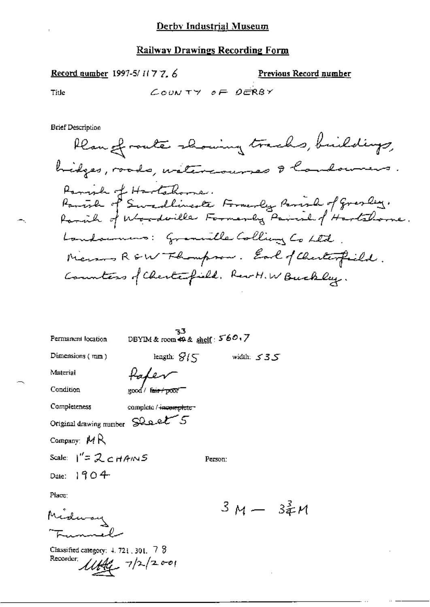## Record number 1997-5/1177, 6

Previous Record number

Title

$$
\mathcal{L}\text{conv}\tau\forall\quad\sigma\mathsf{F}\quad\mathsf{D}\mathsf{C}\mathsf{R}\mathsf{B}\mathsf{Y}
$$

ŀ.

**Brief Description** 

| Permanent location                                     | 33<br>DBYIM & room \$9 & shelf: 560,7 |         |               |  |
|--------------------------------------------------------|---------------------------------------|---------|---------------|--|
| Dimensions $(\text{mm})$                               | length: $S/\sqrt{2}$                  |         | ستان width: ک |  |
| Material                                               |                                       |         |               |  |
| Condition                                              | fair + poor<br>good /                 |         |               |  |
| Completeness                                           | complete / +ncomplete -               |         |               |  |
| Original drawing number Shoet 5                        |                                       |         |               |  |
| Company: $MR$                                          |                                       |         |               |  |
| Scale: $1'' = 2c + 4m5$                                |                                       | Person: |               |  |
| Date: $1904$                                           |                                       |         |               |  |
| Place:                                                 |                                       |         |               |  |
|                                                        |                                       |         | $3 M - 34 M$  |  |
|                                                        |                                       |         |               |  |
| Classified category: $4.721$ , 301, $7.8$<br>Recorder: | 44.7/2001                             |         |               |  |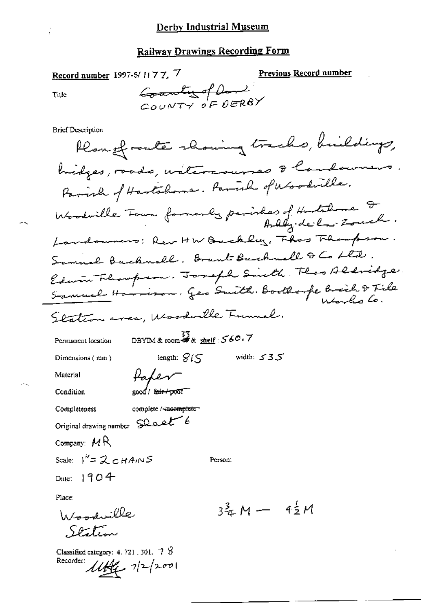Record number 1997-5/11 77, 7

Previous Record number

Title

Counting of David  $\sim$ OUNTY OF DERBY

**Brief Description** 

Plangfronte showing tracks, buildings, hidges, roads, watercourses & Caudowners Parish of Hartshome. Parish of Woodville. Woodwille Four formerly parishes of Hostalane I. Landowners: Rev HW Backley, Thas Flampson. Samuel Buckwall, Brant Buchwell & Co Ltd. Edwin Thompson. Joseph Smith. Theo Aldridge. Samuel Homison, Geo Smith, Boothorpe Breich & File Station area, Woodwille Funnel. DBYIM & room  $\frac{33}{46}$  shelf : 560.7 Permanent location length:  $\mathcal{G}(\mathcal{F})$ width:  $\leq$  3.5 Dimensions (mm) fater Material 2000/ k<del>air/poor</del> Condition Completeness complete / incomplete Original drawing number SQ oct Company: MR Scale:  $1^{\prime\prime} = 2cHAMS$ Person: Date:  $1904$ Place:  $3\frac{3}{4}M - 4\frac{1}{2}M$ Woodville

Classified category: 4, 721, 301,  $-7\sqrt{8}$ Recorder  $1149 - 712/2001$ 

بهدارهم تيكر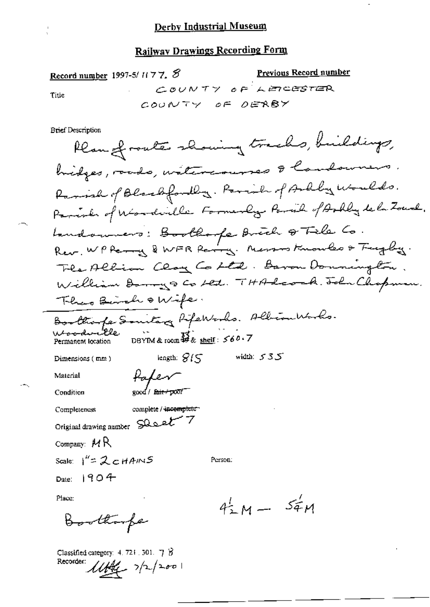Record number 1997-5/ $1177.$ COUNTY OF LEACESTER

Previous Record number

Title

COUNTY OF DERBY

**Brief Description** 

Rean of route showing tracks, buildings, bridges, roads, watercourses & landowners. Ramish of Blackfordly. Parish of Arkly Woulds. Parish of Wonderlle Formerly Parish of Arbly dela Zourk. Landowners: Boothoope Brich & Tile Co.<br>Rev. WPPerry & WFR Parry. Nassos Knowles & Trugby. The Allian Clay Co Ltd. Baron Donnington. William Donny S Co Let. THA Leock. John Chopman. There Bende & Wife. Boothoope Societary Repertorles. Albiombarbo. Woodwith DBYIM & room  $\frac{73}{47}$ & shelf: 560.7 Permanent location length:  $\mathcal{G}(\mathcal{F})$ width:  $535$ Dimensions (mm) Paper Material good / fair+poor Condition complete / incomplete Completeness Original drawing number SQset 7 Company:  $MR$ Scale:  $1'' = 2cHAMS$ Person: Date:  $1904$ Place:  $4^{1}_{2}M - 5^{1}_{4}M$ 

Boothouse

Classified category:  $4.721.301.7$   $\beta$ Recorder:  $1146 - 7/2/200$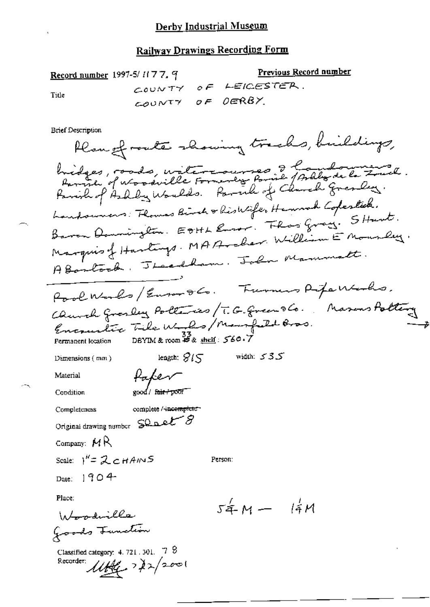Previous Record number Record number 1997-5/1177, 9 COUNTY OF LEIGESTER. Title OF DERBY COUNTY

**Brief Description** 

Plan of route showing tracks, buildings, bridges, roads, watercourses 3 hours de 2 mil. Landswers: Flomas Birch & historife, Hannah Copestick. Baron Domington EDHL Roser. Thos Grazy. SHant. Marquis of Hartings. MAArcher. William E Mourley. Abantoch. Theadham. John Mammatt. Rool Works/Euserale. Furners Rife Works, Church Grosley Polleries/T.G. Green 86. Masons Polling Encounter Tile W. 20 / Manpald Bros.<br>Permanent location DBYIM&room B& shell: 560.7 length;  $\mathscr{G}(\mathbb{S})$  width:  $\mathscr{S}3\mathscr{S}$ Dimensions (mm) Paker Material good/fair/poor Condition complete / incomplete Completeness Original drawing number SQ a et 8 Company:  $MR$ Scale:  $1'' = 2cHAMS$ Person: Date:  $190 +$ Place:  $54 M - 14 M$ Woodville Goods Function Classified category:  $4.721.301.72$ Recorder:  $\mathcal{U}$ ffer  $\mathcal{V}$   $\mathcal{V}$   $\mathcal{V}$   $\mathcal{V}$   $\mathcal{V}$   $\mathcal{V}$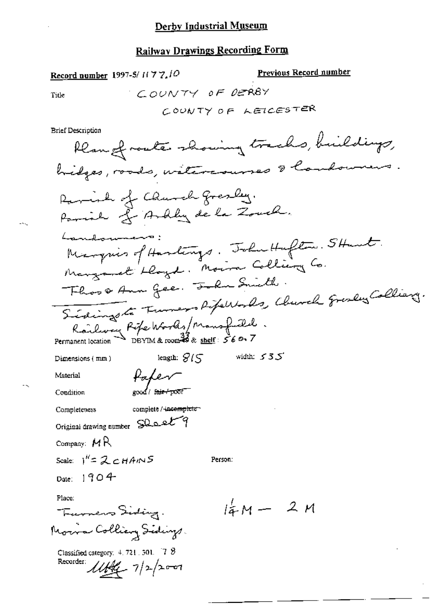<u>Previous Record number</u> Record number 1997-5/1177.10 COUNTY OF DERBY Title COUNTY OF LEICESTER **Brief Description** Rean of route showing tracks, buildings, hidges, roads, withresures & landowners Raminh of Church gresly. Parish of Ardly de la Zouch. Landonnano: Marquis of Hardings. John Hafton. Stant. Margaret Llayd. Moira Colliany Co. Floor Ann Gee, John Smith. Sidingsto Furners Rifewards, Church Gresley Collians. Railway Réfe Worlds/Mansfield. length:  $\mathcal{G}$  /  $\subset$ width:  $535$ Dimensions (mm) Paper Material eood / f<del>air / poor</del> Condition complete / <del>(ncomplete -</del> Completeness Original drawing number SQ oet 9 Company:  $MR$ Scale:  $1^{k} = 2cHAMS$ Person: Date:  $1904$ Place:  $l_{AM}^2 - 2 M$ Turners Siding. Morra Colliery Sidings. Classified category:  $4.721.501.78$ Recorder:  $1149 - 7/2200$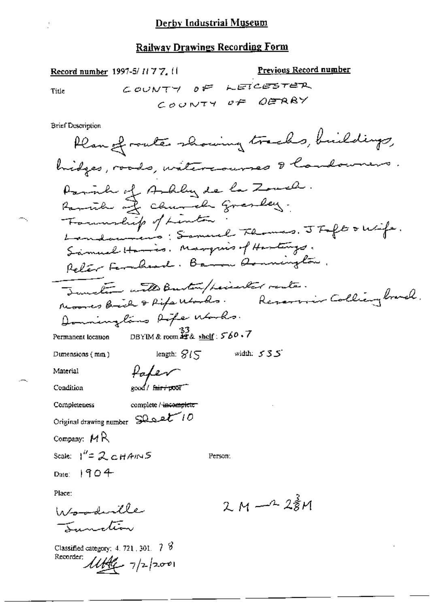Title

۰.

Ì.

l.

**Brief Description** 

Record number 1997-5/1177, 11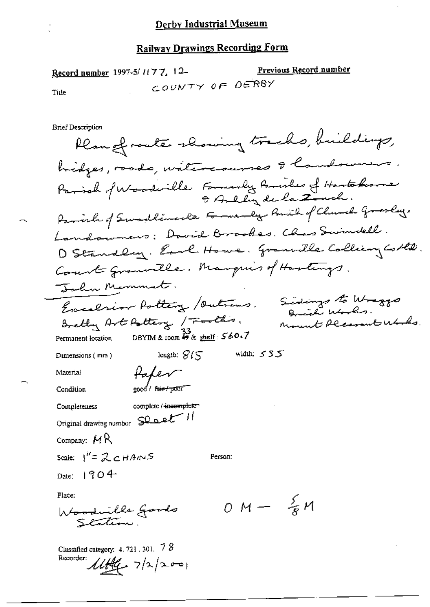Record number 1997-5/1177, 12-Previous Record number COUNTY OF DERBY Tide

**Brief Description** 

Recorder:

 $11146 - 71212001$ 

Plan of route showing tracks, buildings, hidges, roads, witcocourses & Caudowners. Parioh of Woodwille Farmerly Parioles of Hartakorne 9 Ally dela Zuch. Parish of Swadlingcle Formerly Romile of Clurch Grosley, Landowners: Dovid Brookes, Chas Swindell. D Standley. Earl Howe. Granville Colliery Colle. Court Granwille. Marquis of Hartings. John Memment. Sidings to Wraggo Excelsion Polling / Outrams. Bretty Art Pottery / Footh's. Mount Pleasant Works. DBYIM & room  $\mathcal{W}_{\alpha}$  shelf :  $560.7$ Permanent location length:  $\mathcal{G}(\mathcal{S})$ width:  $535$ Dumensions (mm) fafer Material  $\frac{1}{2000}$  fair f pour Condition complete / incomplete-Completeness Original drawing number SQ p et 11 Company:  $M$ R Scale:  $1^{\prime\prime} = 2cHAMS$ Person:  $_{\text{Date}}$  1904 Place:  $OM - \frac{5}{5}M$ Woodwille Goods<br>Station. Classified category:  $4.721$ , 301,  $78$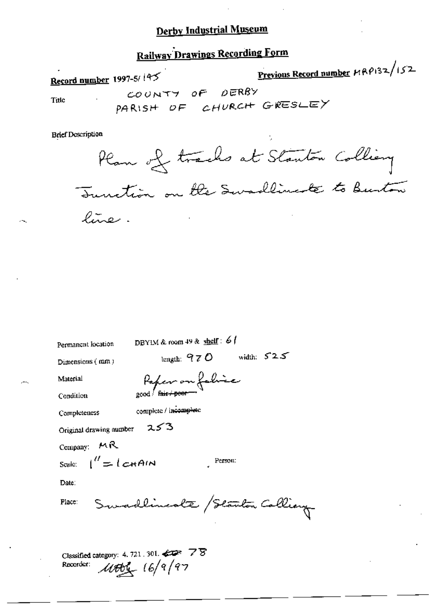## **Railway Drawings Recording Form**

Previous Record number 19 P132/152 Record number 1997-5/145 COUNTY OF DERBY Title PARISH OF CHURCH GRESLEY

**Brief Description** 

Plan of trachs at Stanton Colliany Tunction on the Swadlingte to Burton line.

| Permanent location      | DBYIM & room 49 & shelf: 6                                                       |
|-------------------------|----------------------------------------------------------------------------------|
| Dimensions (mm)         | width: $525$<br>length: $970$                                                    |
| Material                | Paper on fabie                                                                   |
| Condition               |                                                                                  |
| Completeness            | complete / incomplete                                                            |
| Original drawing number | 253                                                                              |
| Company: $MR$           |                                                                                  |
| Scale: $1'' = 1$ chain  | Person:                                                                          |
| Date:                   |                                                                                  |
| Place:                  | Swadlineste / Starton Colliery                                                   |
| Recorder:               | Classified category: 4, 721, 301, $\Longleftrightarrow$ 78<br>$\mu$ ttty 16/9/97 |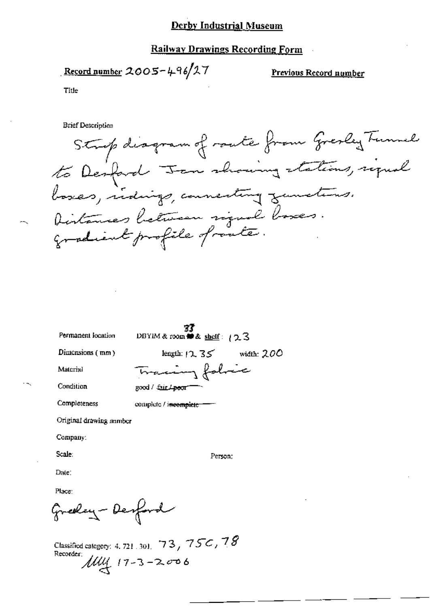### **Railway Drawings Recording Form**

Record number 
$$
2005-496/27
$$

Previous Record number

Title

**Brief Description** 

Strip diagram of route from Gresley Tunnel to Desford Jan showing stations, signal Distances hetween rigual boxes. gradient profile of route.

| Permanent location      | DBYIM & room # & shelf: 123   |
|-------------------------|-------------------------------|
| Dimensions (mm)         | length: $12.35$ width: 200    |
| Material                | Tracing folice                |
| Condition               | good / fair <del>/ poor</del> |
| Completeness            | complete / incomplete         |
| Original drawing number |                               |
| Company:                |                               |
| Scale:                  | Person:                       |
| Date:                   |                               |
| Place:                  |                               |

Classified category: 4, 721, 301, 73, 75C, 78 Recorder:  $114$   $17-3-2006$ 

Greeley-Desford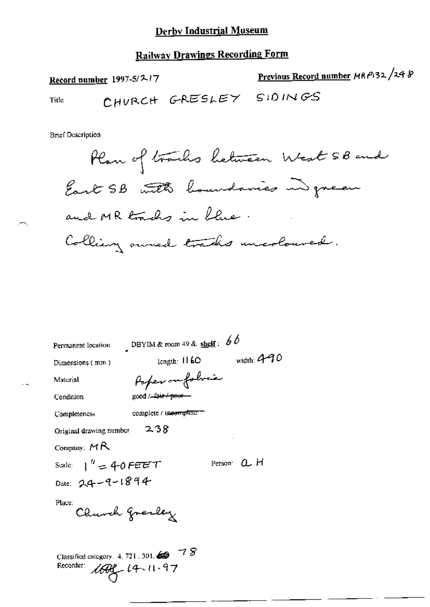## **Railway Drawings Recording Form**

Previous Record number MRP132/248 Record number 1997-5/217 CHURCH GRESLEY SIDINGS Title

**Brief Description** 

Plan of tracks between West 5B and East SB with boundaries in green and MR tracks in Llue. Colliary owned tracks uncoloured.

| Permanent location                               | DBYIM & room 49 & shelf: $66$ |               |
|--------------------------------------------------|-------------------------------|---------------|
| Dimensions $(mn)$                                | length: $1160$                | width: $4-70$ |
| Material                                         | Poperonfolvia                 |               |
| Condition                                        | good / fair / poor            |               |
| Completencss                                     | complete / incomplete         |               |
| Original drawing number                          | 238                           |               |
| Company: $MR$                                    |                               |               |
| Scale: $1'' = 40$ FEET                           |                               | Person a H    |
| Date: 24-9-1894                                  |                               |               |
| Place:<br>Church gresley                         |                               |               |
| Classified category. $4.721$ . 301.<br>Recorder: | -18<br>$100 - 14.11.97$       |               |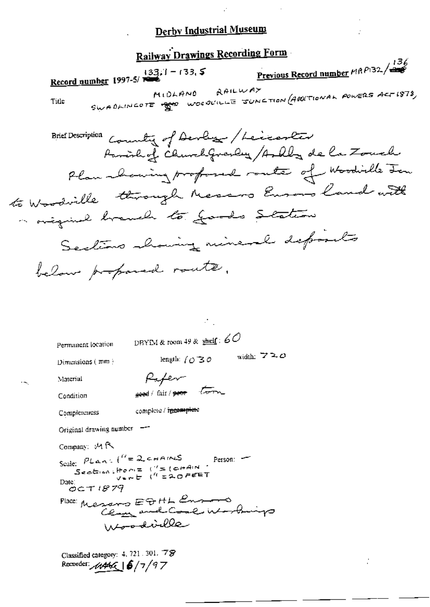$\mathcal{C}$ 

 $\bar{z}$ 

÷.

 $\mathcal{L}^{\mathcal{L}}$ 

|                                                                                                                            |                                                                                                                                                                                                                                                                                                                                            | <b>Railway Drawings Recording Form</b> |                                                                                                                                               |
|----------------------------------------------------------------------------------------------------------------------------|--------------------------------------------------------------------------------------------------------------------------------------------------------------------------------------------------------------------------------------------------------------------------------------------------------------------------------------------|----------------------------------------|-----------------------------------------------------------------------------------------------------------------------------------------------|
|                                                                                                                            | Record number 1997-5/ $\overline{r}$ 133, 1 - 133, 5                                                                                                                                                                                                                                                                                       |                                        | Previous Record number $P(32)$ $\left\langle \frac{136}{256} \right\rangle$                                                                   |
| Title                                                                                                                      |                                                                                                                                                                                                                                                                                                                                            | MIDLAND RAILWAY                        | SWABLINGOTE TO WOODLILLE JUNCTION (ABOLTIONAL POWERS ACTISTS)                                                                                 |
|                                                                                                                            | Brief Description Country of Devlage / Leccenter<br>a original branch to goods Station<br>Sections showing mineral deposits<br>below professed route.                                                                                                                                                                                      | Albert Co                              | Parishof Church Granby / Ardby de la Zouch<br>Plan abouting proformed route of Woodialle For<br>to Wardville through Nessers Eusens land with |
| Permanent location<br>Dimensions $(mn)$<br>Material<br>ъ,<br>Condition<br>Completeness<br>Company: MR<br>Date:<br>QCT 1879 | DRYIM & room 49 & shelf: $60$<br>length: $\int$ $\mathcal{O}$ $\mathcal{B}$ $\mathcal{O}$<br>Hafem<br>good/fair/ <del>poor</del> torn<br>complete / recomplete<br>Original drawing number -<br>Scale: $PLan: l''=2,$ chams<br>Section Home $($ '= (chain<br>$y = -b$ (" $= 20$ FEET<br>Place: Messars EDHL Ensons<br>Clam and Coal Working | width: $720$<br>Person.                |                                                                                                                                               |

Classified category: 4, 721, 301, 78<br>Recorder:  $\frac{\sqrt{4466}}{\sqrt{5}}$  6/7/97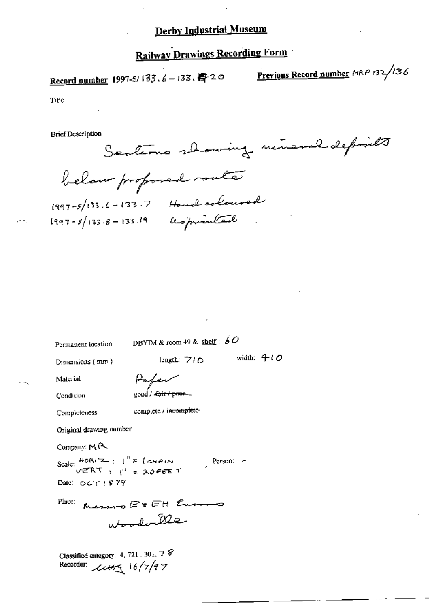## **Railway Drawings Recording Form**

Record gumber 1997-5/133.6-133. 野20

Previous Record number MRP 132/136

Title

**Brief Description** 

Sections showing mineral deposits below proposed suite  $1997 - 5/133.6 - 133.7$  Hand coloured

Permanent location

DBYIM & room 49 & shelf:  $60$ 

Dimensions (mm)

length:  $7/0$  width:  $4/0$ 

Condition

Material

Pafer good / -fair / poer -

Completeness

complete / incomplete-

Original drawing number

Company:  $M$ 

Scale:  $\frac{H_0R_1Z_1}{V^2R_1X_2}$ ;  $\frac{1}{V} = \frac{1}{2}$  and  $N = 1$ Person:  $\epsilon$ Date:  $OCT1879$ 

Merro ErEH Europo Place: Wooder le

Classified category: 4, 721, 301,  $78$ Recorder:  $\text{const}$  16/7/97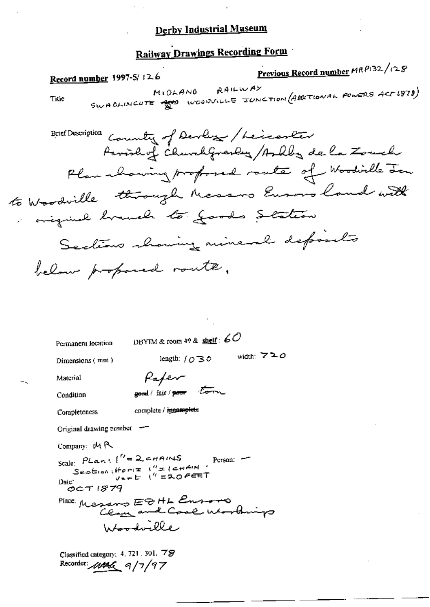## **Railway Drawings Recording Form**

Previous Record number MRP132/128 Record number 1997-5/12.6 RAILWAY SWABLINCUTE SO WOODVILLE JUNCTION (ABOUTIONAL POWERS ACT 1978) Title Brief Description Country of Devloy / Leicever Parishof ChurchGrandy /Ashba de la Zouch Plan whowing profoned route of Woodirlle Jon to Woodville through Messons Europe land with miguil branch to goods Station Sections showing mineral defends below proposed route. DBYTM & room 49 & shelf :  $60$ Permanent location width:  $720$ length:  $\int \mathcal{O} \mathbb{B} \Phi$ Dimensions (mm) Pafer Material good/fair/goor torn Condition complete / incomplete Completeness Original drawing number  $-$ Company:  $\mu$  R Scale:  $PLan(1^{\prime\prime}=2$  eHAINS Person: -<br>Sestion: Home  $1^{\prime\prime}=1$ crain:<br>Date:  $V_{n+1}$  ("=20FEET Date:  $OCT1879$ Place: Messars EDHL Ensoro Ja<del>lood</del>wille

> Classified category: 4, 721, 301, 78 Recorder: 11446 9/7/97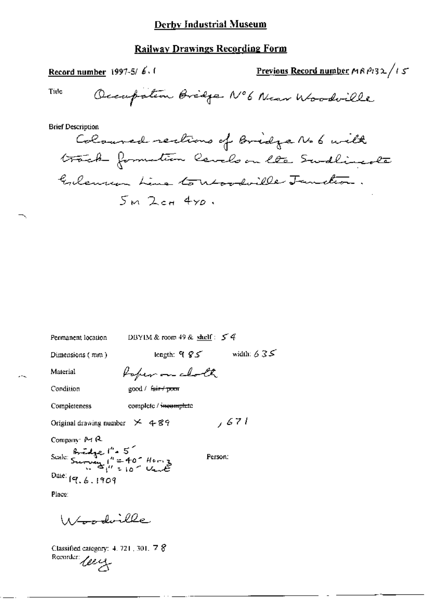## **Railway Drawings Recording Form**

| Record number 1997-5/ $\frac{1}{2}$ , 1                                    |                                                                     | Previous Record number $M8P132/15$                                                                                       |
|----------------------------------------------------------------------------|---------------------------------------------------------------------|--------------------------------------------------------------------------------------------------------------------------|
| Tide                                                                       |                                                                     | Occupation Bridge N°6 Near Woodville                                                                                     |
| <b>Brief Description</b>                                                   | $5m$ $2$ ca $450$ .                                                 | Coloured rections of Bridge No 6 with<br>track formation levels on lte Swallingste<br>Goleman Line to revolville Jandin. |
| Permanent location<br>Dimensions (mm)                                      | DBYIM & room 49 & shelf: $54$<br>length: 9 $\mathcal{S}\mathcal{S}$ | width: $635$                                                                                                             |
| Material                                                                   | Poper on cloth                                                      |                                                                                                                          |
| Condition                                                                  | good / <del>fair / poo</del> r                                      |                                                                                                                          |
| Completeness                                                               | complete / incomplete                                               |                                                                                                                          |
| Original drawing number $\times$ 489                                       | , 671                                                               |                                                                                                                          |
| Company: M R<br>Scale: Survey 1' = 40" Hors 3<br>Date: 19.6.1909<br>Place: | Person:                                                             |                                                                                                                          |
| 11 Long dwille                                                             |                                                                     |                                                                                                                          |

Classified category: 4.721, 301, 7  $\%$ <br>Recorder:  $\angle$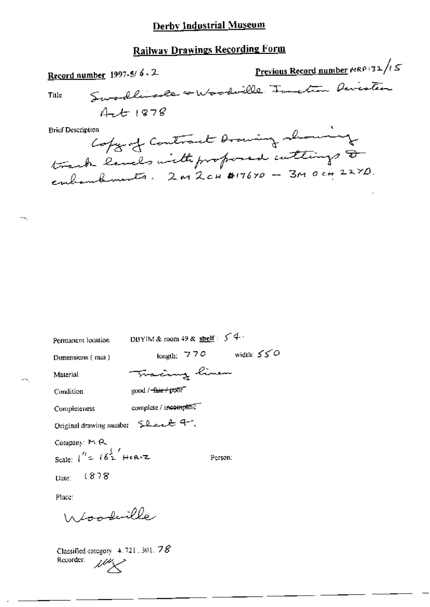# Railway Drawings Recording Form

| Record number 1997-5/ $6.2$                                  | Previous Record number $P(RP/32)$ / $\sqrt{5}$ |
|--------------------------------------------------------------|------------------------------------------------|
| Swodlingte + Woodwille Tunction Devester<br>Title            |                                                |
| $4-t1878$                                                    |                                                |
| <b>Brief Description</b><br>Copy of Contract Drawing showing |                                                |
| track levels with proposed cuttings a                        |                                                |
| embandaments. 2M 2cH \$17670 - 3M 0 cm 227D.                 |                                                |

| Permanent location                                                 | DBYIM & room 49 & shelf: $54$ |               |              |
|--------------------------------------------------------------------|-------------------------------|---------------|--------------|
| Dimensions (mm)                                                    |                               | length: $770$ | width: $550$ |
| Material                                                           | Tracing linen                 |               |              |
| Condition                                                          | good / farr = poor            |               |              |
| Completeness                                                       | complete / incomplete         |               |              |
| Original drawing number Should 4,                                  |                               |               |              |
| Company: M R<br>Scale: $1^{\prime\prime}$ = $16\frac{1}{2}$ Here z |                               |               | Person:      |
| Date: $1878$                                                       |                               |               |              |
| Place:                                                             |                               |               |              |
| Woodwille.                                                         |                               |               |              |
|                                                                    |                               |               |              |

Classified category  $4.721.301.78$ Recorder:  $\mathbb{Z}^{\mathbb{Z}}\times$ 

 $\hat{\mathcal{A}}_{\text{S}}$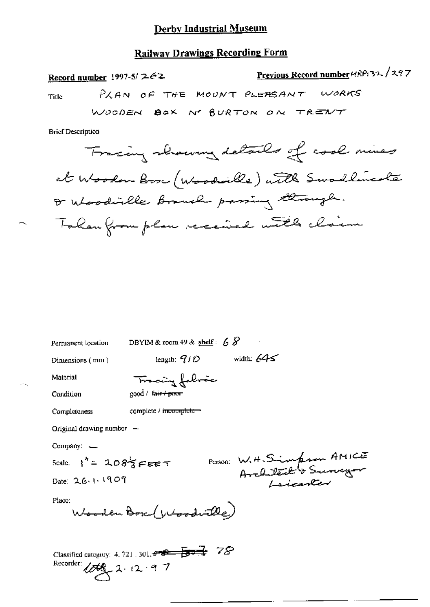#### **Railway Drawings Recording Form**

Previous Record number 4RP132/297 Record number 1997-5/ $262$ PLAN OF THE MOUNT PLEASANT WORKS Title WOODEN BOX N' BURTON ON TRENT **Brief Description** Tracing showing details of cool mines at Woodon Box (Woodville) with Swadlingste I whoodiable Branch passing through. Tohan from plan received with claim

Permanent location DBYIM & room 49 & shelf:  $68$ length;  $7/D$  width:  $645$ Dimensions (mm) Tracing fabric Material good / fair+poor Condition Completeness complete / mcomplete -Original drawing number  $-$ Company. -Person: W. H. Simpson AMICE Scale.  $\frac{1}{2}$  = 208<sup>5</sup> $\epsilon$  EET Date: 26.1.1909 Place: Wooden Box (Woodwille) Classified category: 4, 721, 301,  $\theta = 2$   $\sqrt{3}$   $78$ Recorder:  $100 - 2.12 - 9.7$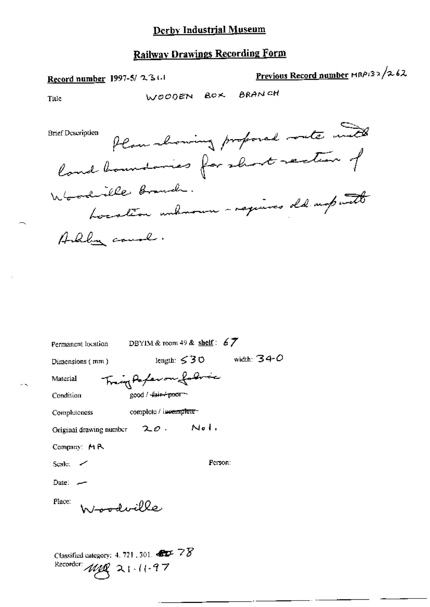Record number 1997-5/2311

Previous Record number MRP132/262

Title

WOODEN BOX BRANCH

Plan showing proposed south with **Brief Description** land boundaries for short rection of Whoodrille Branch. Location unhaven - regimes old unputte

| Permanent location                                                                                                     | DBYIM & room 49 & shelf: $67$    |  |  |
|------------------------------------------------------------------------------------------------------------------------|----------------------------------|--|--|
| $Dimensions$ (mm)                                                                                                      | length: $530$ width: $340$       |  |  |
| Material                                                                                                               | Trangforfer on followic          |  |  |
| Condition                                                                                                              | good / <del>-{air-⁄ poor ~</del> |  |  |
| Completeness                                                                                                           | complete / incomplete            |  |  |
| Original drawing number $2\sigma$ . Nel.                                                                               |                                  |  |  |
| Company: $M R$                                                                                                         |                                  |  |  |
| Scale: $\sim$                                                                                                          | Person:                          |  |  |
| Date: $-$                                                                                                              |                                  |  |  |
| ne <del>nod</del> wille<br>Place:                                                                                      |                                  |  |  |
| Classified category: 4, 721, 301. $\bigoplus \mathcal{F}$ $\mathcal{F} \mathcal{B}$<br>Recorder: $\text{arg} 21.11.97$ |                                  |  |  |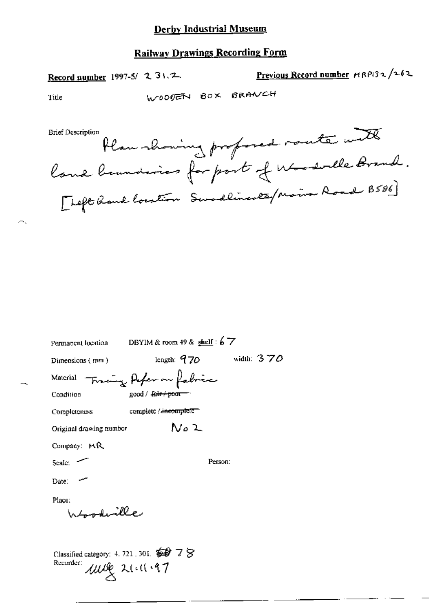## **Railway Drawings Recording Form**

Record number 1997-5/ 2 31.2

Previous Record number HRP132/262

Title

WOODEN BOX BRANCH

Plan showing profosed route with [Left hand location Swadlineses/Main Road B586]

|                                                            | Permanent location DBYIM & room 49 & shulf : $6\overline{7}$ |              |
|------------------------------------------------------------|--------------------------------------------------------------|--------------|
| Dimensions $(mn)$                                          | length: $970$                                                | width: $370$ |
| Material                                                   | Traing Afer on fabric                                        |              |
| Condition                                                  | good / <del>fair / poor</del>                                |              |
| Completeness                                               | complete / <del>incomplete</del>                             |              |
| Original drawing number                                    | N0 2                                                         |              |
| Comparing <b>MR</b>                                        |                                                              |              |
| Scale: $\sim$                                              |                                                              | Person:      |
| Date:                                                      |                                                              |              |
| Place:                                                     |                                                              |              |
| ر صلاکتیں وقعیت کے                                         |                                                              |              |
|                                                            |                                                              |              |
| Classified category: 4, 721, 301, $\circledast$ 7 $\times$ |                                                              |              |
| Recorder:                                                  | use 21.11.97                                                 |              |
|                                                            |                                                              |              |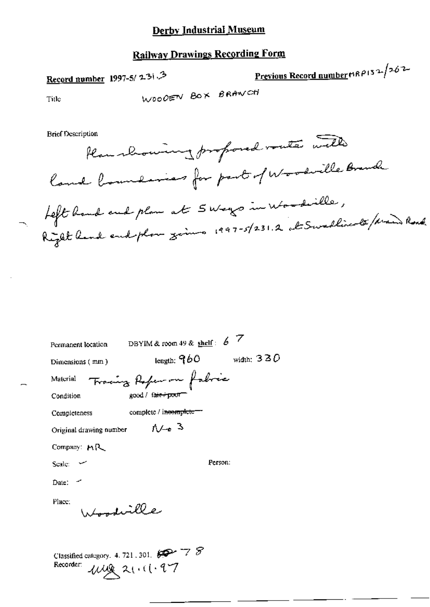## **Railway Drawings Recording Form**

Record number 1997-5/2313

Previous Record number HRP132/262

Title

WOODEN BOX BRANCH

**Brief Description** 

Plan showing proposed voute with land boundaries for part of Woodville Branch Left hand end plan at 5 ways in Woodville,<br>Right hand end plan zoins 1997-5/231.2 at Swedlingte / Main Road

| Permanent location                                                        | DBYIM & room 49 & shelf: $6\frac{7}{2}$ |  |  |
|---------------------------------------------------------------------------|-----------------------------------------|--|--|
| Dimensions (mm)                                                           | length: $960$ width: $330$              |  |  |
| Material                                                                  | Tracing Reference fabric                |  |  |
| Condition                                                                 | good / fair + poor                      |  |  |
| Completeness                                                              | complete / incomplete=                  |  |  |
| Original drawing number                                                   | $\Lambda$ / $\sim$ 3                    |  |  |
| Company: $M_{\rm R}$                                                      |                                         |  |  |
| Scale: $\sim$                                                             | Person:                                 |  |  |
| Date: $\sim$                                                              |                                         |  |  |
| Place:<br>tondiville                                                      |                                         |  |  |
| Classified category. 4. 721, 301, 800 7 8<br>Recorder:<br>$1149$ 21.11.97 |                                         |  |  |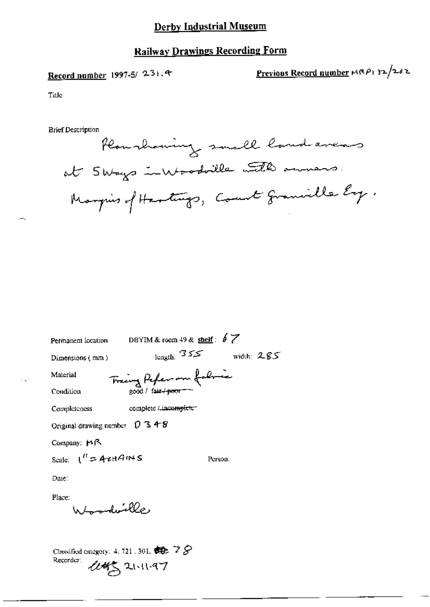## **Railway Drawings Recording Form**

## Record number 1997-5/ 231.4

Previous Record number  $M(RP)$  32/262

Title

**Brief Description** 

Plan showing small land avers at Sways invoodalle with owners. Margins of Hastings, Count granielle Ey.

DBYIM & room  $49$  & shelf:  $6$   $\cancel{7}$ Permanent location length:  $355$  width:  $285$ Dimensions (mm)

Material

Fracing Papler m fabric

Condition

Completeness

complete Lincomplete\*

Original drawing number 0 3 4 8

Company: MR

Scale:  $1'' = 4 \pi r A \approx s$ 

Person:

Date:

Place: Whoodwille

Classified category: 4, 721, 301,  $\bigoplus$   $\mathbb{Z}$   $\mathcal{S}$ Recorder:  $445$  21.11.97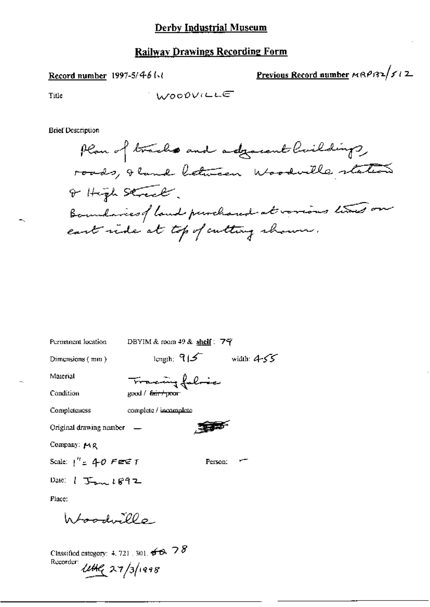#### Record number 1997-5/46 l-t

Previous Record number  $MRP/32/f/2$ 

Title

**Brief Description** 

Plan of tracks and adjacent buildings, roads, I hand between Woodwille station of High Street. Boundaries of land purchased at verious times on east ride at top of cutting channer.

| Permanent location                    | DBYIM & room 49 & shelf : 7字  |                            |  |
|---------------------------------------|-------------------------------|----------------------------|--|
| Dimensions (mm)                       |                               | length; $915$ width: $455$ |  |
| Material                              | Tracing folice                |                            |  |
| Condition                             | good / <del>fair / poor</del> |                            |  |
| Completeness                          | complete / incomplete         |                            |  |
| Original drawing number —             |                               |                            |  |
| Company: $M$ $R$                      |                               |                            |  |
| Scale: $1'' = 4 - 0$ Fee T            |                               | Person:                    |  |
| Date: $1 \text{ T}_{\text{max}} 1892$ |                               |                            |  |
| Place:                                |                               |                            |  |
| $h$ from $1.5000$                     |                               |                            |  |
|                                       |                               |                            |  |

Classified category: 4, 721 , 301,  $\overline{\sigma} \otimes \overline{\sigma}$   $\delta$ Recorder: 1142 27/3/1998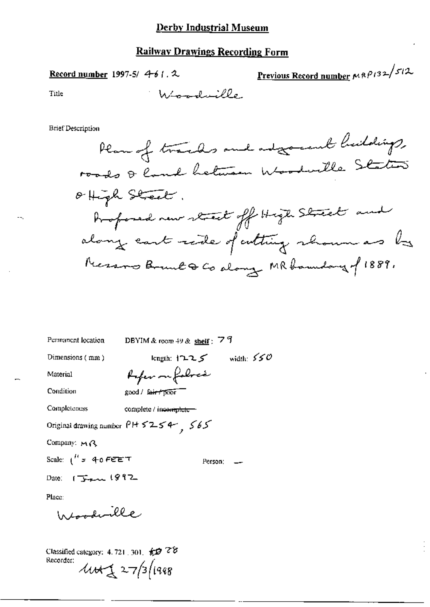**Record number** 1997-5/ 4-6 (. 2)

Previous Record number  $MRP/32/572$ 

Title

**Brief Description** 



| Permanent location                           | DBYIM & room $49$ & shelf: 79 |         |  |
|----------------------------------------------|-------------------------------|---------|--|
| Dimensions (mm)                              | length: $1225$ width: $550$   |         |  |
| Material                                     | Arfer on foloca               |         |  |
| Condition                                    | good / fair / poor            |         |  |
| Completeness                                 | complete / incomplete-        |         |  |
| Original drawing number $P$ H $5254$ , $565$ |                               |         |  |
| Company: $M \wedge$                          |                               |         |  |
| Scale: $1^{R}$ = 40 FEET                     |                               | Person: |  |
| Date: $1992$                                 |                               |         |  |
| Place:                                       |                               |         |  |
| Woodwille                                    |                               |         |  |

Classified category: 4.721, 301,  $\oint \vec{D}$   $\vec{C}$ Recorder:  $444227/3/1998$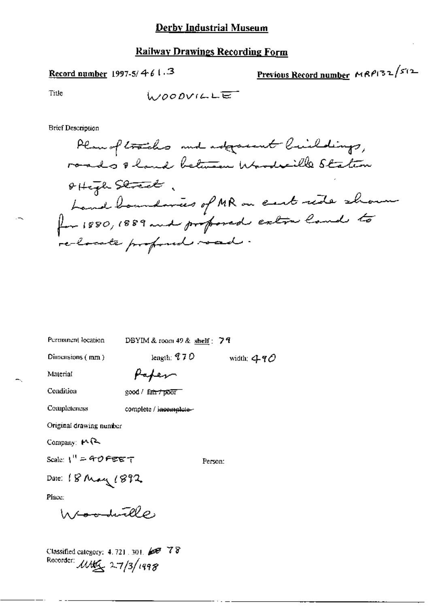### **Railway Drawings Recording Form**

### Record number 1997-5/461.3

Previous Record number  $MRPI32^{f/2}$ 

Title

**Brief Description** 

Plan of tracks and adjournt buildings, roads & hand between Woodville Station offize Street, hand boundaries of MR on eart ride shown for 1880, 1889 and professed eatin land to re-locate profond road.

width:  $490$ 

| Permanent location      | DBYIM & room 49 & shelf: $74$ |
|-------------------------|-------------------------------|
| Dimensions $(mn)$       | length: $70$                  |
| Material                | Haper                         |
| Condition               | $good /$ fair $\tau$ poor     |
| Completeness            | complete / incomplete-        |
| Original drawing number |                               |
| Company: $M$            |                               |
| Scale: $1'' = 40$ FEET  | Person:                       |
| Date: 18 May 1892       |                               |
| Place:                  |                               |
| Woodwille.              |                               |

Classified category: 4, 721, 301, 2007 78 Recorder: 11115, 27/3/1998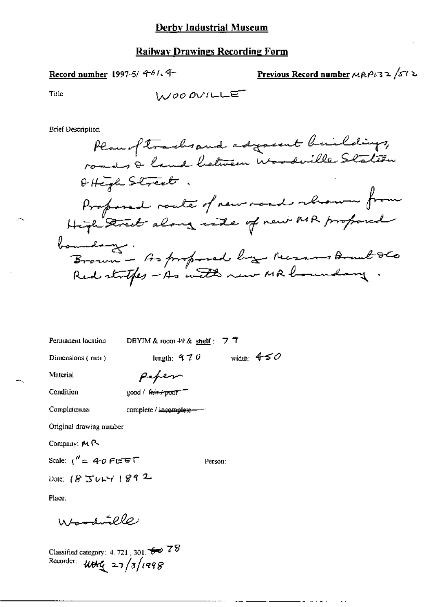Record number 1997-5/ 4-61. 4-

Previous Record number  $\mu$ RP132/512

Title

$$
\textcolor{blue}{\text{blue}}
$$

**Brief Description** 

Permanent location

DBYIM & room 49 & shelf:  $77$ 

Dimensions (mm)

length:  $470$  width:  $450$ 

Material Condition

|  | ≌ood / <del>Γα∔τ≁πο</del> σΓ |
|--|------------------------------|

Peper

Completeness complete / incomplete-

Original drawing number

Company: MR

Scale:  $1'' = 40$  FEET

Person:

Date: 18 JULY 1892

Place:

Woodwille

Classified category: 4, 721, 301,  $\overline{\bullet}$  78<br>Recorder:  $\overline{W}$   $\overline{q}$  27/3/1998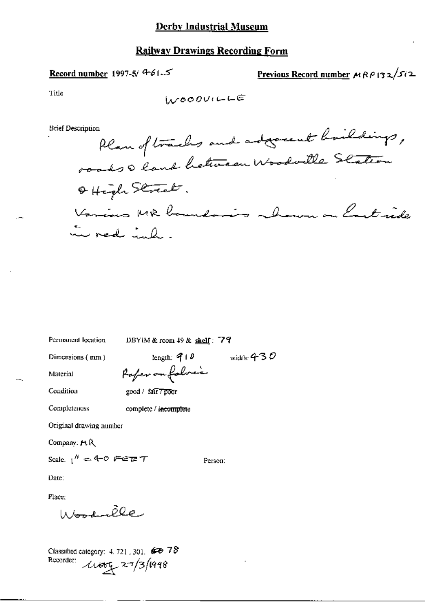### Record number 1997-5/  $4-61.5$

Previous Record number  $MRP$  132/512

Title

WOODVILLE

**Brief Description** 

Plan of tracks and adjournt buildings, roads & land hetween Woodville Station Offight Street. Various MR boundaries howen on Cart ride in red ind.

Permanent location

DBYIM & room  $49$  & shelf: 79

Person:

Dimensions (mm)

length:  $910$ width: 4–3  ${\cal O}$ Paper on folice

Condition

Completeness

Material

good / fairTpoor

complete / incomplete

Original drawing number

Company: MR

Scale,  $1'' = 4 - 0$  Febrary

Date.

Place:

Woodnelle

Classified category:  $4.721$ , 301.  $678$ Recorder: 11000 27/3/1998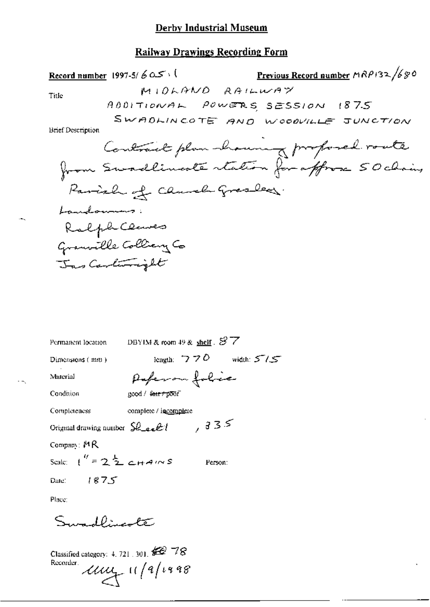## **Railway Drawings Recording Form**

Record number 1997-5/ $605$ 

Previous Record number MRP132/680

Title

ш,

**Brief Description** 

| Permanent location                             | DBYIM & room 49 & shelf $\mathcal{S}$ 7 |
|------------------------------------------------|-----------------------------------------|
| Dimensions (mm)                                | length: $770$ width: $5/5$              |
| Material                                       | Paperon folice                          |
| Condition                                      | good / <del>fair/poo</del> f            |
| Completeness                                   | complete / incomplete                   |
| Original drawing number $SL_{\alpha}E$         | ,335                                    |
| Company: $MR$                                  |                                         |
| Scale: $\binom{y}{1}$ = 2 $\frac{1}{2}$ chains | Person:                                 |
| Date: $187.5$                                  |                                         |
| Place:                                         |                                         |

Swadlingste

Classified category: 4, 721, 301,  $\cancel{\text{SO}}$  78  $\mu$  11/9/1998 Recorder.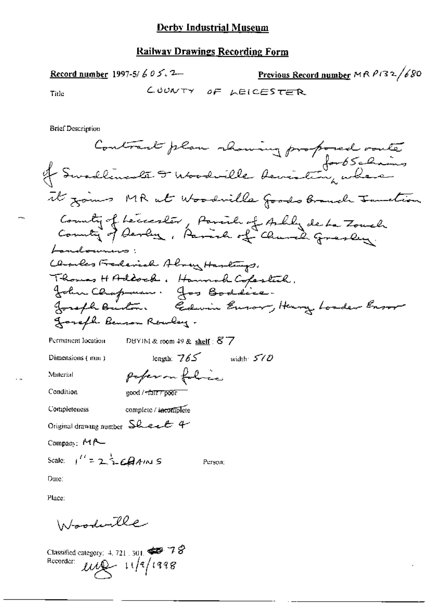Previous Record number MRP132/680 Record number 1997-5/  $605.2$ COUNTY OF LEICESTER Tide

**Brief Description** 

. .

Woodwille

Classified category: 4, 721, 301,  $\bigoplus$  78<br>Recorder:  $\bigcup_{\mathcal{U}}\bigcup_{\mathcal{U}}$  11/9/1998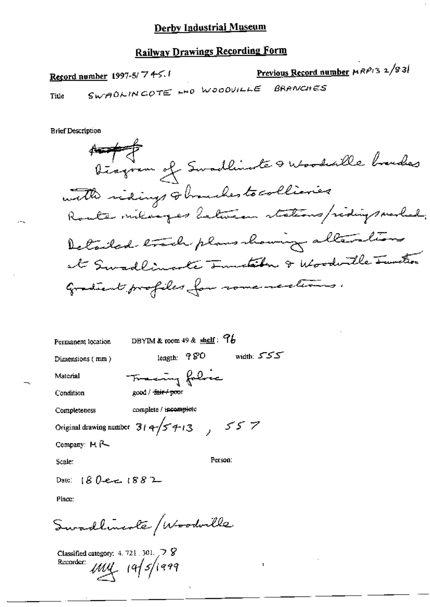## **Railway Drawings Recording Form**

Previous Record number HRP13 2/83/ Record number 1997-5/74-5.1 SWADLINCOTE HO WOODVILLE **BRANCHES** Title

**Brief Description** 



DBYIM & room  $49$  & shelf:  $96$ Permanent location length: 980 width: 555 Dimensions (mm) Fraccing folice Material good / fair / poor Condition complete / incomplete Completeness Original drawing number  $314\sqrt{5413}$ ,  $557$ Company: M R

Scale:

Person:

Date:  $180 - 1882$ 

Place:

Swadlineste / Woodville

Classified category:  $4.721.301.$  7 Recorder:  $\mu$ uy 19/5/1999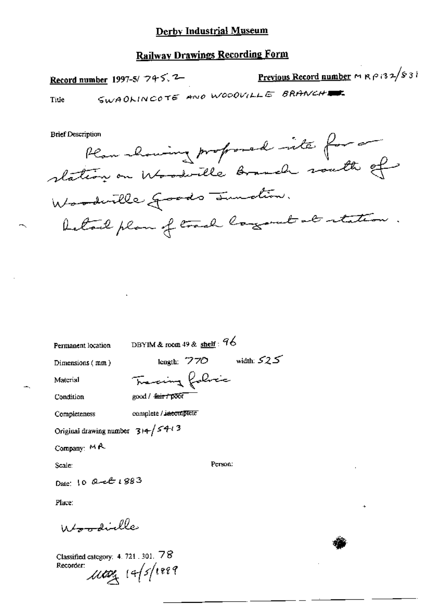## **Railway Drawings Recording Form**

Previous Record number ~ R P 132/831 Record number 1997-5/ 745.2 SWADLINCOTE AND WOODVILLE BRANCHE Title

**Brief Description** 

Plan showing profoned into for station on Woodwille Branch south of Woodwille goods Innation. betall plan of track largement at retation

Permanent location

DBYIM & room 49 & shelf:  $96$ 

Tracing folice

Dimensions (mm)

length:  $770$  width:  $525$ 

Material

Condition good / fair / poor

complete / incomplete Completeness

Original drawing number  $314/54/3$ 

Company: MA

Scale:

Person:

Date: 10 Quel 1883

Place:

Whomdielle

Classified category: 4. 721, 301, 78 Recorder:

 $\mu$ cog 14/5/1889